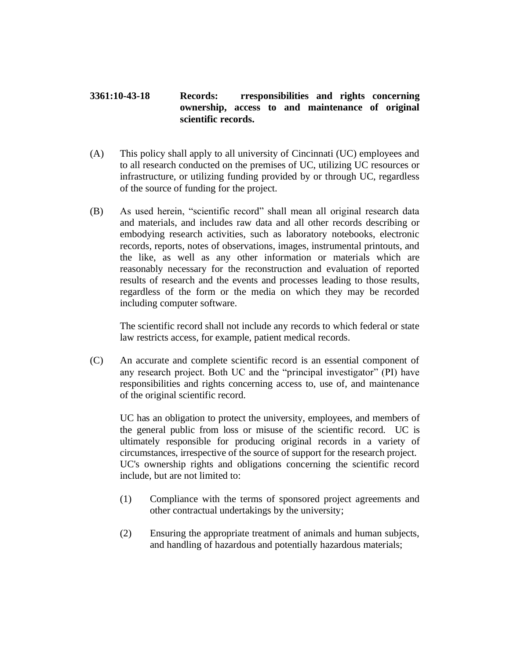## **3361:10-43-18 Records: rresponsibilities and rights concerning ownership, access to and maintenance of original scientific records.**

- (A) This policy shall apply to all university of Cincinnati (UC) employees and to all research conducted on the premises of UC, utilizing UC resources or infrastructure, or utilizing funding provided by or through UC, regardless of the source of funding for the project.
- (B) As used herein, "scientific record" shall mean all original research data and materials, and includes raw data and all other records describing or embodying research activities, such as laboratory notebooks, electronic records, reports, notes of observations, images, instrumental printouts, and the like, as well as any other information or materials which are reasonably necessary for the reconstruction and evaluation of reported results of research and the events and processes leading to those results, regardless of the form or the media on which they may be recorded including computer software.

The scientific record shall not include any records to which federal or state law restricts access, for example, patient medical records.

(C) An accurate and complete scientific record is an essential component of any research project. Both UC and the "principal investigator" (PI) have responsibilities and rights concerning access to, use of, and maintenance of the original scientific record.

UC has an obligation to protect the university, employees, and members of the general public from loss or misuse of the scientific record. UC is ultimately responsible for producing original records in a variety of circumstances, irrespective of the source of support for the research project. UC's ownership rights and obligations concerning the scientific record include, but are not limited to:

- (1) Compliance with the terms of sponsored project agreements and other contractual undertakings by the university;
- (2) Ensuring the appropriate treatment of animals and human subjects, and handling of hazardous and potentially hazardous materials;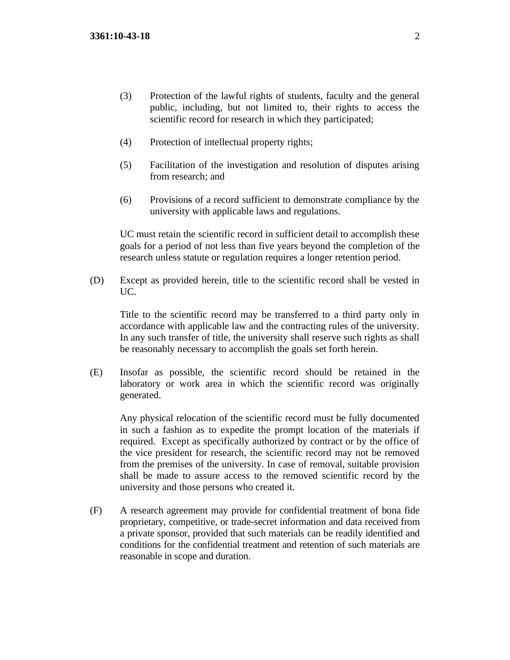- (3) Protection of the lawful rights of students, faculty and the general public, including, but not limited to, their rights to access the scientific record for research in which they participated;
- (4) Protection of intellectual property rights;
- (5) Facilitation of the investigation and resolution of disputes arising from research; and
- (6) Provisions of a record sufficient to demonstrate compliance by the university with applicable laws and regulations.

UC must retain the scientific record in sufficient detail to accomplish these goals for a period of not less than five years beyond the completion of the research unless statute or regulation requires a longer retention period.

(D) Except as provided herein, title to the scientific record shall be vested in UC.

Title to the scientific record may be transferred to a third party only in accordance with applicable law and the contracting rules of the university. In any such transfer of title, the university shall reserve such rights as shall be reasonably necessary to accomplish the goals set forth herein.

(E) Insofar as possible, the scientific record should be retained in the laboratory or work area in which the scientific record was originally generated.

Any physical relocation of the scientific record must be fully documented in such a fashion as to expedite the prompt location of the materials if required. Except as specifically authorized by contract or by the office of the vice president for research, the scientific record may not be removed from the premises of the university. In case of removal, suitable provision shall be made to assure access to the removed scientific record by the university and those persons who created it.

(F) A research agreement may provide for confidential treatment of bona fide proprietary, competitive, or trade-secret information and data received from a private sponsor, provided that such materials can be readily identified and conditions for the confidential treatment and retention of such materials are reasonable in scope and duration.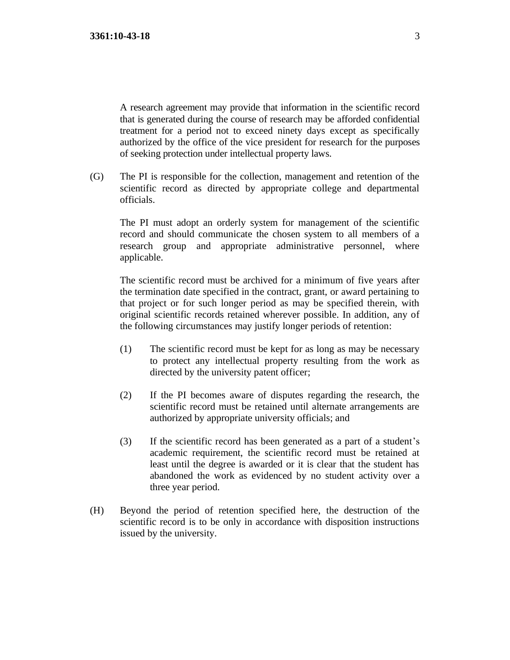A research agreement may provide that information in the scientific record that is generated during the course of research may be afforded confidential treatment for a period not to exceed ninety days except as specifically authorized by the office of the vice president for research for the purposes of seeking protection under intellectual property laws.

(G) The PI is responsible for the collection, management and retention of the scientific record as directed by appropriate college and departmental officials.

The PI must adopt an orderly system for management of the scientific record and should communicate the chosen system to all members of a research group and appropriate administrative personnel, where applicable.

The scientific record must be archived for a minimum of five years after the termination date specified in the contract, grant, or award pertaining to that project or for such longer period as may be specified therein, with original scientific records retained wherever possible. In addition, any of the following circumstances may justify longer periods of retention:

- (1) The scientific record must be kept for as long as may be necessary to protect any intellectual property resulting from the work as directed by the university patent officer;
- (2) If the PI becomes aware of disputes regarding the research, the scientific record must be retained until alternate arrangements are authorized by appropriate university officials; and
- (3) If the scientific record has been generated as a part of a student's academic requirement, the scientific record must be retained at least until the degree is awarded or it is clear that the student has abandoned the work as evidenced by no student activity over a three year period.
- (H) Beyond the period of retention specified here, the destruction of the scientific record is to be only in accordance with disposition instructions issued by the university.